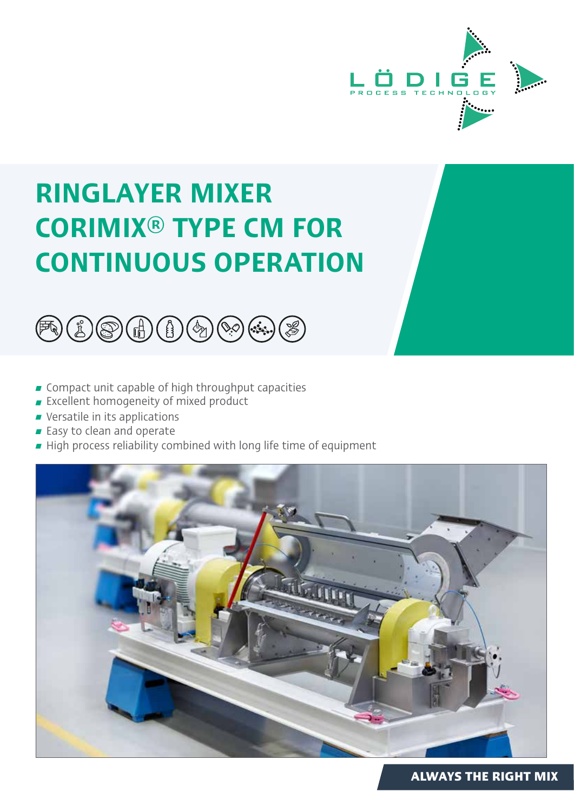

## RINGLAYER MIXER CORIMIX® TYPE CM FOR CONTINUOUS OPERATION



- **Compact unit capable of high throughput capacities**
- **Excellent homogeneity of mixed product**
- **v** Versatile in its applications
- **Easy to clean and operate**
- High process reliability combined with long life time of equipment